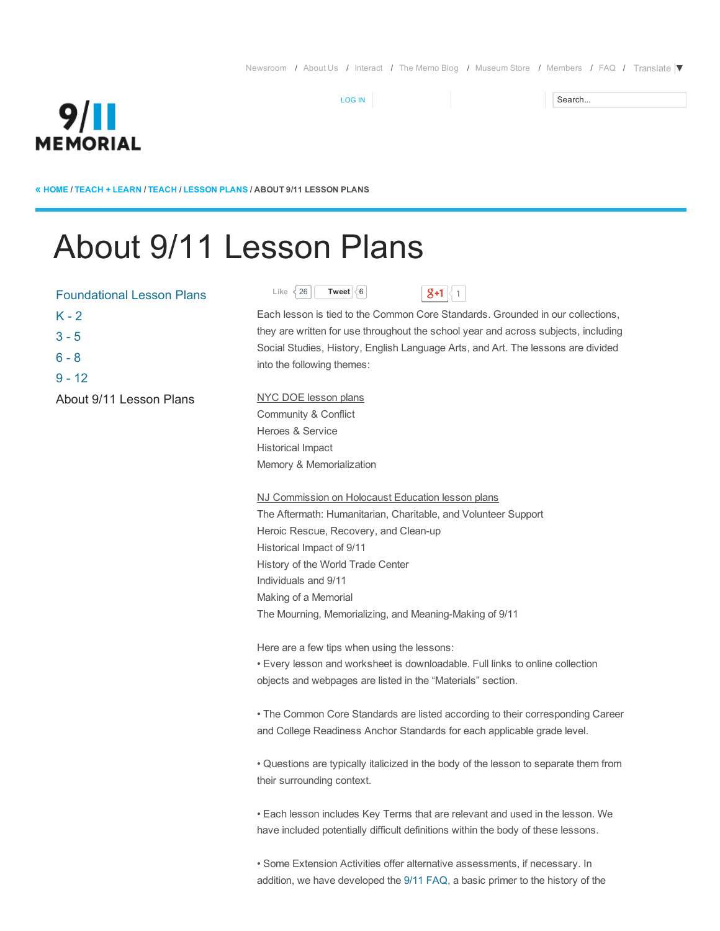Search...

# **9/II MEMORIAL**

« [HOME](http://www.911memorial.org/) / [TEACH](http://www.911memorial.org/teach-learn) + LEARN / [TEACH](http://www.911memorial.org/teach-learn) / [LESSON](http://www.911memorial.org/lesson-plans) PLANS / ABOUT 9/11 LESSON PLANS

# About 9/11 Lesson Plans

| <b>Foundational Lesson Plans</b> | Like<br><b>く26</b>             |
|----------------------------------|--------------------------------|
| $K - 2$                          | Each lessor                    |
| $3 - 5$                          | they are writ                  |
| $6 - 8$                          | Social Studi<br>into the follo |
| $9 - 12$                         |                                |
| About 9/11 Lesson Plans          | NYC DOE I                      |
|                                  | Community                      |
|                                  | Heroes & S                     |
|                                  | مالموزره فمليلا                |

Like  $\{26 \mid$  $\{26 \mid$  $\{26 \mid$  [Tweet](https://twitter.com/intent/tweet?original_referer=http%3A%2F%2Fwww.911memorial.org%2Fabout-911-lesson-plans&text=About%209%2F11%20Lesson%20Plans%20%7C%20National%20September%2011%20Memorial%20%26%20Museum%3A&tw_p=tweetbutton&url=http%3A%2F%2Fwww.911memorial.org%2Fabout-911-lesson-plans%23.VEpuB5MqCmQ.twitter)  $\{6 \}$   $\{8+1 \mid 1\}$ 

[LOG](http://www.911memorial.org/user) IN



Each lesson is tied to the Common Core Standards. Grounded in our collections, they are written for use throughout the school year and across subjects, including Social Studies, History, English Language Arts, and Art. The lessons are divided into the following themes:

NYC DOE lesson plans Community & Conflict Heroes & Service Historical Impact Memory & Memorialization

NJ Commission on Holocaust Education lesson plans The Aftermath: Humanitarian, Charitable, and Volunteer Support Heroic Rescue, Recovery, and Clean-up Historical Impact of 9/11 History of the World Trade Center Individuals and 9/11 Making of a Memorial The Mourning, Memorializing, and Meaning-Making of 9/11

Here are a few tips when using the lessons:

• Every lesson and worksheet is downloadable. Full links to online collection objects and webpages are listed in the "Materials" section.

• The Common Core Standards are listed according to their corresponding Career and College Readiness Anchor Standards for each applicable grade level.

• Questions are typically italicized in the body of the lesson to separate them from their surrounding context.

• Each lesson includes Key Terms that are relevant and used in the lesson. We have included potentially difficult definitions within the body of these lessons.

• Some Extension Activities offer alternative assessments, if necessary. In addition, we have developed the 9/11 [FAQ](http://www.911memorial.org/sites/all/files/FAQ%20about%209-11.pdf)[,](https://www.911memorial.org/faq-about-911) a basic primer to the history of the